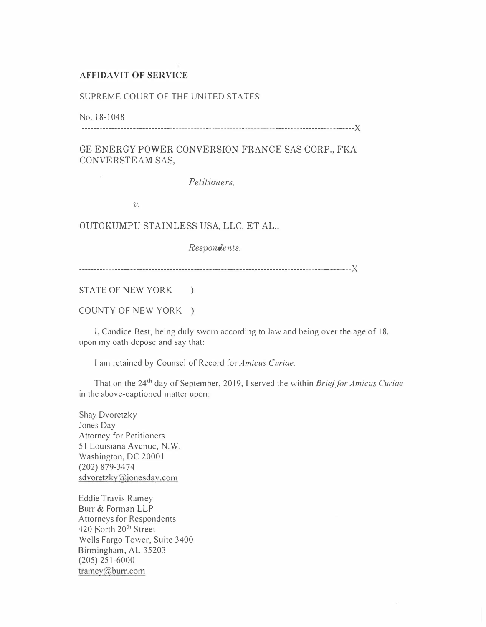## AFFIDAVIT OF SERVICE

## SUPREME COURT OF THE UNITED STATES

No. 18-1048

------------------------------------------------------------------------------------------)(

GE ENERGY POWER CONVERSION FRANCE SAS CORP., FKA CONVERSTEAM SAS,

Petitioners,

 $v$ .

OUTOKUMPU STAINLESS USA, LLC, ET AL.,

Respondents.

------------------------------------------------------------------------------------------)(

STATE OF NEW YORK )

COUNTY OF NEW YORK )

I, Candice Best, being duly sworn according to law and being over the age of 18, upon my oath depose and say that:

I am retained by Counsel of Record for Amicus Curiae.

That on the 24<sup>th</sup> day of September, 2019, I served the within *Brief for Amicus Curiae* in the above-captioned matter upon:

Shay Dvoretzky Jones Day Attorney for Petitioners 51 Louisiana Avenue, N.W. Washington, DC 2000 I (202) 879-3474 sdvoretzky@jonesday.com

Eddie Travis Ramey Burr & Forman LLP Attorneys for Respondents 420 North 20<sup>th</sup> Street Wells Fargo Tower, Suite 3400 Birmingham, AL 35203 (205) 251-6000 tramey $@$ burr.com